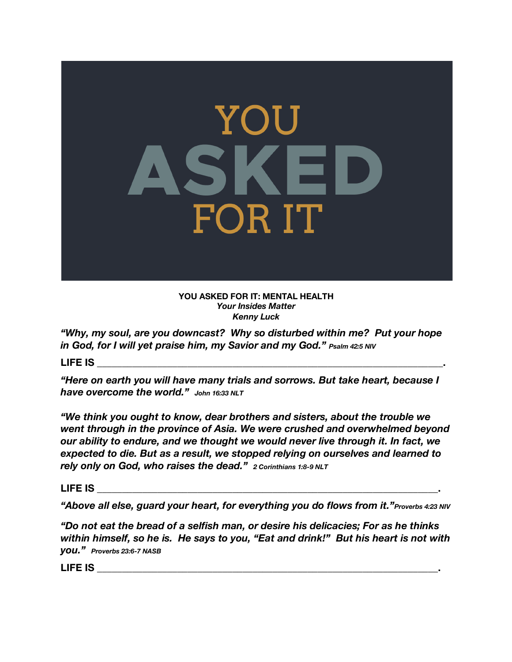

**YOU ASKED FOR IT: MENTAL HEALTH** *Your Insides Matter Kenny Luck* 

*"Why, my soul, are you downcast? Why so disturbed within me? Put your hope in God, for I will yet praise him, my Savior and my God." Psalm 42:5 NIV*

**LIFE IS \_\_\_\_\_\_\_\_\_\_\_\_\_\_\_\_\_\_\_\_\_\_\_\_\_\_\_\_\_\_\_\_\_\_\_\_\_\_\_\_\_\_\_\_\_\_\_\_\_\_\_\_\_\_\_\_\_\_\_\_\_\_\_\_\_\_\_\_\_.**

*"Here on earth you will have many trials and sorrows. But take heart, because I have overcome the world." John 16:33 NLT*

*"We think you ought to know, dear brothers and sisters, about the trouble we went through in the province of Asia. We were crushed and overwhelmed beyond our ability to endure, and we thought we would never live through it. In fact, we expected to die. But as a result, we stopped relying on ourselves and learned to rely only on God, who raises the dead." 2 Corinthians 1:8-9 NLT* 

**LIFE IS \_\_\_\_\_\_\_\_\_\_\_\_\_\_\_\_\_\_\_\_\_\_\_\_\_\_\_\_\_\_\_\_\_\_\_\_\_\_\_\_\_\_\_\_\_\_\_\_\_\_\_\_\_\_\_\_\_\_\_\_\_\_\_\_\_\_\_\_.**

*"Above all else, guard your heart, for everything you do flows from it."Proverbs 4:23 NIV*

*"Do not eat the bread of a selfish man, or desire his delicacies; For as he thinks within himself, so he is. He says to you, "Eat and drink!" But his heart is not with you." Proverbs 23:6-7 NASB*

**LIFE IS LIFE IS**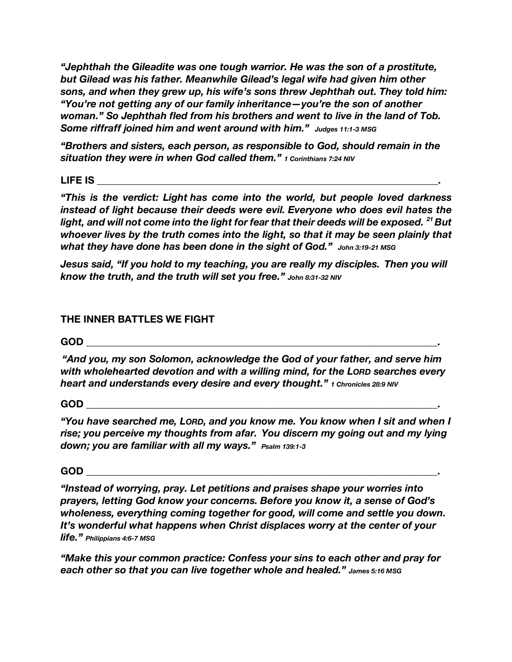*"Jephthah the Gileadite was one tough warrior. He was the son of a prostitute, but Gilead was his father. Meanwhile Gilead's legal wife had given him other sons, and when they grew up, his wife's sons threw Jephthah out. They told him: "You're not getting any of our family inheritance—you're the son of another woman." So Jephthah fled from his brothers and went to live in the land of Tob. Some riffraff joined him and went around with him." Judges 11:1-3 MSG*

*"Brothers and sisters, each person, as responsible to God, should remain in the situation they were in when God called them." 1 Corinthians 7:24 NIV*

## **LIFE IS \_\_\_\_\_\_\_\_\_\_\_\_\_\_\_\_\_\_\_\_\_\_\_\_\_\_\_\_\_\_\_\_\_\_\_\_\_\_\_\_\_\_\_\_\_\_\_\_\_\_\_\_\_\_\_\_\_\_\_\_\_\_\_\_\_\_\_\_.**

*"This is the verdict: Light has come into the world, but people loved darkness instead of light because their deeds were evil. Everyone who does evil hates the light, and will not come into the light for fear that their deeds will be exposed. <sup>21</sup> But whoever lives by the truth comes into the light, so that it may be seen plainly that what they have done has been done in the sight of God." John 3:19-21 MSG*

*Jesus said, "If you hold to my teaching, you are really my disciples. Then you will know the truth, and the truth will set you free." John 8:31-32 NIV*

# **THE INNER BATTLES WE FIGHT**

## **GOD \_\_\_\_\_\_\_\_\_\_\_\_\_\_\_\_\_\_\_\_\_\_\_\_\_\_\_\_\_\_\_\_\_\_\_\_\_\_\_\_\_\_\_\_\_\_\_\_\_\_\_\_\_\_\_\_\_\_\_\_\_\_\_\_\_\_\_\_\_\_.**

*"And you, my son Solomon, acknowledge the God of your father, and serve him with wholehearted devotion and with a willing mind, for the LORD searches every heart and understands every desire and every thought." 1 Chronicles 28:9 NIV*

#### **GOD \_\_\_\_\_\_\_\_\_\_\_\_\_\_\_\_\_\_\_\_\_\_\_\_\_\_\_\_\_\_\_\_\_\_\_\_\_\_\_\_\_\_\_\_\_\_\_\_\_\_\_\_\_\_\_\_\_\_\_\_\_\_\_\_\_\_\_\_\_\_.**

*"You have searched me, LORD, and you know me. You know when I sit and when I rise; you perceive my thoughts from afar. You discern my going out and my lying down; you are familiar with all my ways." Psalm 139:1-3*

**GOD \_\_\_\_\_\_\_\_\_\_\_\_\_\_\_\_\_\_\_\_\_\_\_\_\_\_\_\_\_\_\_\_\_\_\_\_\_\_\_\_\_\_\_\_\_\_\_\_\_\_\_\_\_\_\_\_\_\_\_\_\_\_\_\_\_\_\_\_\_\_.** 

*"Instead of worrying, pray. Let petitions and praises shape your worries into prayers, letting God know your concerns. Before you know it, a sense of God's wholeness, everything coming together for good, will come and settle you down. It's wonderful what happens when Christ displaces worry at the center of your life." Philippians 4:6-7 MSG*

*"Make this your common practice: Confess your sins to each other and pray for each other so that you can live together whole and healed." James 5:16 MSG*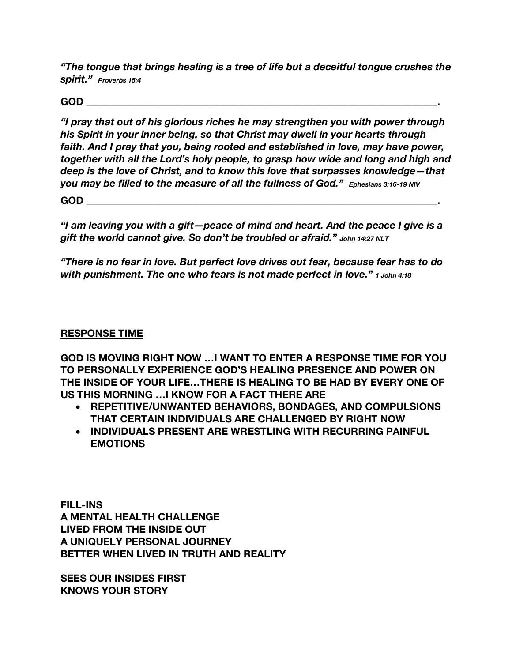*"The tongue that brings healing is a tree of life but a deceitful tongue crushes the spirit." Proverbs 15:4*

**GOD \_\_\_\_\_\_\_\_\_\_\_\_\_\_\_\_\_\_\_\_\_\_\_\_\_\_\_\_\_\_\_\_\_\_\_\_\_\_\_\_\_\_\_\_\_\_\_\_\_\_\_\_\_\_\_\_\_\_\_\_\_\_\_\_\_\_\_\_\_\_.** 

*"I pray that out of his glorious riches he may strengthen you with power through his Spirit in your inner being, so that Christ may dwell in your hearts through faith. And I pray that you, being rooted and established in love, may have power, together with all the Lord's holy people, to grasp how wide and long and high and deep is the love of Christ, and to know this love that surpasses knowledge—that you may be filled to the measure of all the fullness of God." Ephesians 3:16-19 NIV*

**GOD \_\_\_\_\_\_\_\_\_\_\_\_\_\_\_\_\_\_\_\_\_\_\_\_\_\_\_\_\_\_\_\_\_\_\_\_\_\_\_\_\_\_\_\_\_\_\_\_\_\_\_\_\_\_\_\_\_\_\_\_\_\_\_\_\_\_\_\_\_\_.** 

*"I am leaving you with a gift—peace of mind and heart. And the peace I give is a gift the world cannot give. So don't be troubled or afraid." John 14:27 NLT*

*"There is no fear in love. But perfect love drives out fear, because fear has to do with punishment. The one who fears is not made perfect in love." 1 John 4:18*

#### **RESPONSE TIME**

**GOD IS MOVING RIGHT NOW …I WANT TO ENTER A RESPONSE TIME FOR YOU TO PERSONALLY EXPERIENCE GOD'S HEALING PRESENCE AND POWER ON THE INSIDE OF YOUR LIFE…THERE IS HEALING TO BE HAD BY EVERY ONE OF US THIS MORNING …I KNOW FOR A FACT THERE ARE** 

- **REPETITIVE/UNWANTED BEHAVIORS, BONDAGES, AND COMPULSIONS THAT CERTAIN INDIVIDUALS ARE CHALLENGED BY RIGHT NOW**
- **INDIVIDUALS PRESENT ARE WRESTLING WITH RECURRING PAINFUL EMOTIONS**

**FILL-INS A MENTAL HEALTH CHALLENGE LIVED FROM THE INSIDE OUT A UNIQUELY PERSONAL JOURNEY BETTER WHEN LIVED IN TRUTH AND REALITY**

**SEES OUR INSIDES FIRST KNOWS YOUR STORY**